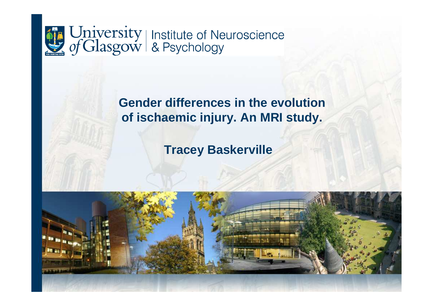

# **Gender differences in the evolution of ischaemic injury. An MRI study.**

# **Tracey Baskerville**

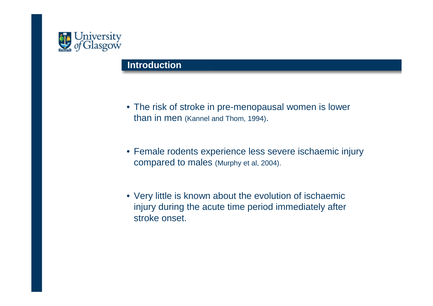

### **Introduction**

- The risk of stroke in pre-menopausal women is lower than in men (Kannel and Thom, 1994).
- Female rodents experience less severe ischaemic injury compared to males (Murphy et al, 2004).
- Very little is known about the evolution of ischaemic injury during the acute time period immediately after stroke onset.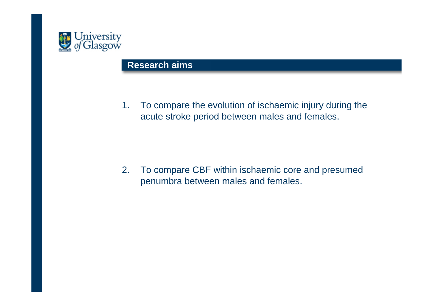

### **Research aims**

1. To compare the evolution of ischaemic injury during the acute stroke period between males and females.

2. To compare CBF within ischaemic core and presumed penumbra between males and females.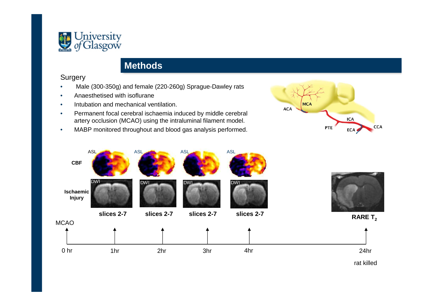

### **Methods**

#### Surgery

- Male (300-350g) and female (220-260g) Sprague-Dawley rats•
- •Anaesthetised with isoflurane
- Intubation and mechanical ventilation. •
- • Permanent focal cerebral ischaemia induced by middle cerebral artery occlusion (MCAO) using the intraluminal filament model.
- •MABP monitored throughout and blood gas analysis performed.









rat killed

24hr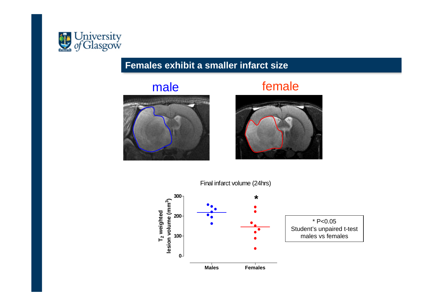

## **Females exhibit a smaller infarct size**

## male





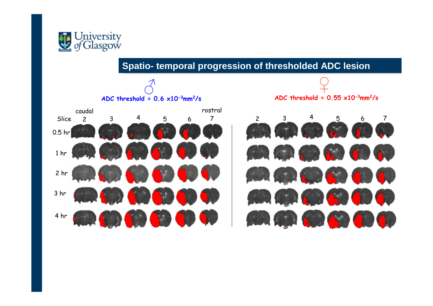

## **Spatio- temporal progression of thresholded ADC lesion**

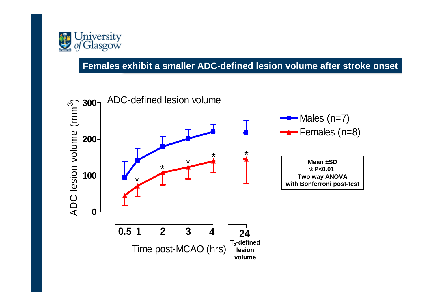

## **Females exhibit a smaller ADC-defined lesion volume after stroke onset**

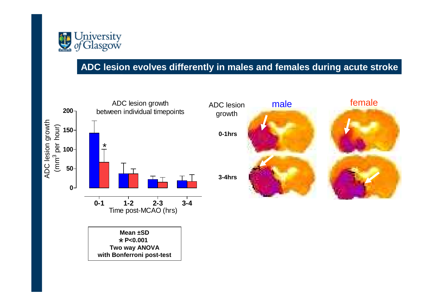

## **ADC lesion evolves differently in males and females during acute stroke**

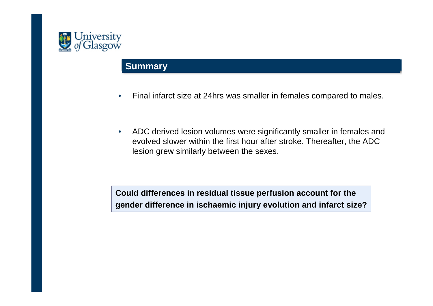

### **Summary**

- •Final infarct size at 24hrs was smaller in females compared to males.
- $\bullet$  ADC derived lesion volumes were significantly smaller in females and evolved slower within the first hour after stroke. Thereafter, the ADC lesion grew similarly between the sexes.

**Could differences in residual tissue perfusion account for thegender difference in ischaemic injury evolution and infarct size?**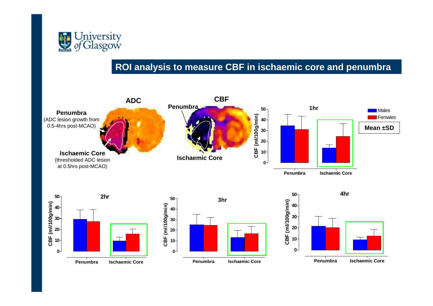

### **ROI analysis to measure CBF in ischaemic core and penumbra**

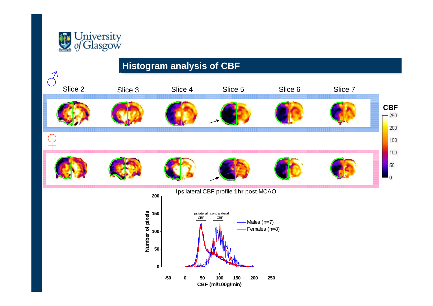

# **Histogram analysis of CBF**

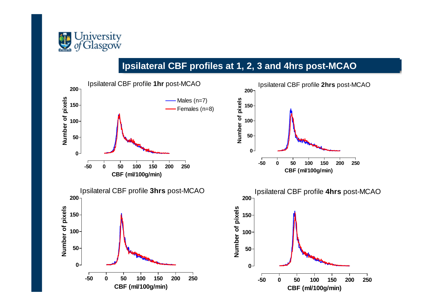

## **Ipsilateral CBF profiles at 1, 2, 3 and 4hrs post-MCAO**

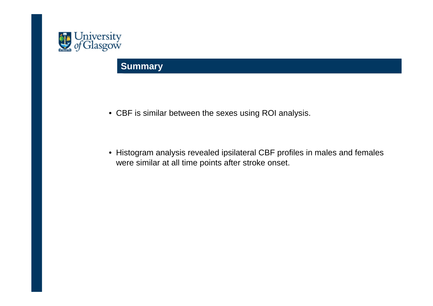

## **Summary**

- CBF is similar between the sexes using ROI analysis.
- Histogram analysis revealed ipsilateral CBF profiles in males and females were similar at all time points after stroke onset.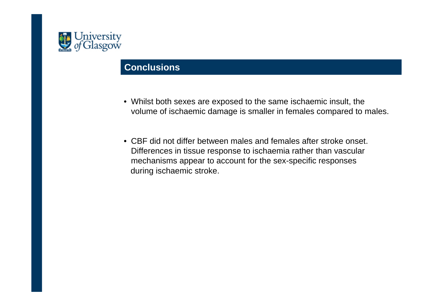

### **Conclusions**

- Whilst both sexes are exposed to the same ischaemic insult, the volume of ischaemic damage is smaller in females compared to males.
- CBF did not differ between males and females after stroke onset. Differences in tissue response to ischaemia rather than vascular mechanisms appear to account for the sex-specific responsesduring ischaemic stroke.